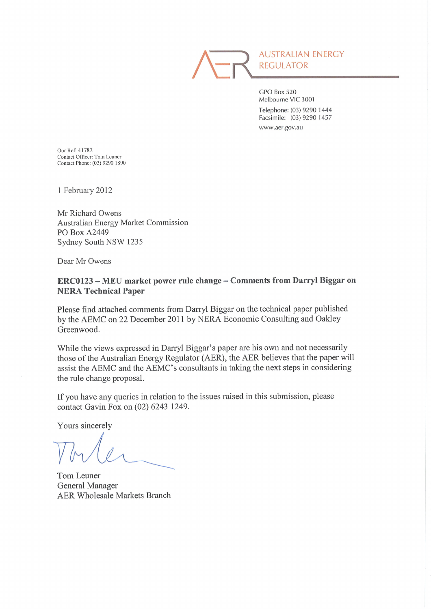

**AUSTRALIAN ENERGY REGULATOR** 

GPO Box 520 Melbourne VIC 3001 Telephone: (03) 9290 1444 Facsimile: (03) 9290 1457 www.aer.gov.au

Our Ref: 41782 Contact Officer: Tom Leuner Contact Phone: (03) 9290 1890

1 February 2012

Mr Richard Owens **Australian Energy Market Commission** PO Box A2449 Sydney South NSW 1235

Dear Mr Owens

# ERC0123 - MEU market power rule change - Comments from Darryl Biggar on **NERA Technical Paper**

Please find attached comments from Darryl Biggar on the technical paper published by the AEMC on 22 December 2011 by NERA Economic Consulting and Oakley Greenwood.

While the views expressed in Darryl Biggar's paper are his own and not necessarily those of the Australian Energy Regulator (AER), the AER believes that the paper will assist the AEMC and the AEMC's consultants in taking the next steps in considering the rule change proposal.

If you have any queries in relation to the issues raised in this submission, please contact Gavin Fox on (02) 6243 1249.

Yours sincerely

Tom Leuner **General Manager AER Wholesale Markets Branch**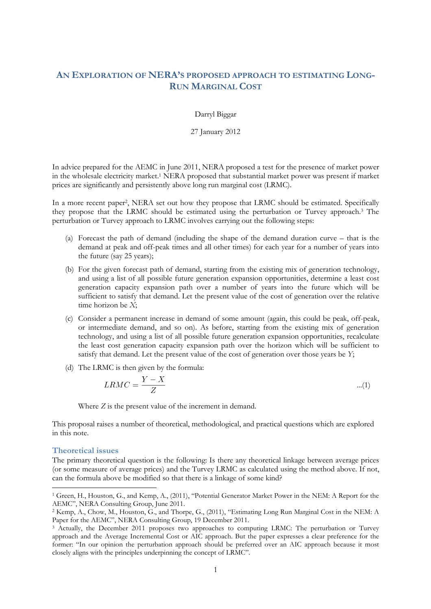# **AN EXPLORATION OF NERA'S PROPOSED APPROACH TO ESTIMATING LONG-RUN MARGINAL COST**

Darryl Biggar

27 January 2012

In advice prepared for the AEMC in June 2011, NERA proposed a test for the presence of market power in the wholesale electricity market.<sup>1</sup> NERA proposed that substantial market power was present if market prices are significantly and persistently above long run marginal cost (LRMC).

In a more recent paper<sup>2</sup> , NERA set out how they propose that LRMC should be estimated. Specifically they propose that the LRMC should be estimated using the perturbation or Turvey approach.<sup>3</sup> The perturbation or Turvey approach to LRMC involves carrying out the following steps:

- (a) Forecast the path of demand (including the shape of the demand duration curve that is the demand at peak and off-peak times and all other times) for each year for a number of years into the future (say 25 years);
- (b) For the given forecast path of demand, starting from the existing mix of generation technology, and using a list of all possible future generation expansion opportunities, determine a least cost generation capacity expansion path over a number of years into the future which will be sufficient to satisfy that demand. Let the present value of the cost of generation over the relative time horizon be *X*;
- (c) Consider a permanent increase in demand of some amount (again, this could be peak, off-peak, or intermediate demand, and so on). As before, starting from the existing mix of generation technology, and using a list of all possible future generation expansion opportunities, recalculate the least cost generation capacity expansion path over the horizon which will be sufficient to satisfy that demand. Let the present value of the cost of generation over those years be *Y*;
- (d) The LRMC is then given by the formula:

$$
LRMC = \frac{Y - X}{Z} \tag{1}
$$

Where *Z* is the present value of the increment in demand.

This proposal raises a number of theoretical, methodological, and practical questions which are explored in this note.

### **Theoretical issues**

 $\overline{a}$ 

The primary theoretical question is the following: Is there any theoretical linkage between average prices (or some measure of average prices) and the Turvey LRMC as calculated using the method above. If not, can the formula above be modified so that there is a linkage of some kind?

<sup>1</sup> Green, H., Houston, G., and Kemp, A., (2011), "Potential Generator Market Power in the NEM: A Report for the AEMC", NERA Consulting Group, June 2011.

<sup>2</sup> Kemp, A., Chow, M., Houston, G., and Thorpe, G., (2011), "Estimating Long Run Marginal Cost in the NEM: A Paper for the AEMC", NERA Consulting Group, 19 December 2011.

<sup>3</sup> Actually, the December 2011 proposes two approaches to computing LRMC: The perturbation or Turvey approach and the Average Incremental Cost or AIC approach. But the paper expresses a clear preference for the former: "In our opinion the perturbation approach should be preferred over an AIC approach because it most closely aligns with the principles underpinning the concept of LRMC".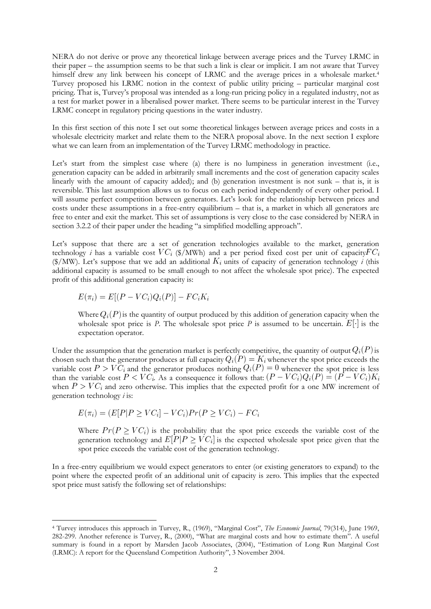NERA do not derive or prove any theoretical linkage between average prices and the Turvey LRMC in their paper – the assumption seems to be that such a link is clear or implicit. I am not aware that Turvey himself drew any link between his concept of LRMC and the average prices in a wholesale market.<sup>4</sup> Turvey proposed his LRMC notion in the context of public utility pricing – particular marginal cost pricing. That is, Turvey's proposal was intended as a long-run pricing policy in a regulated industry, not as a test for market power in a liberalised power market. There seems to be particular interest in the Turvey LRMC concept in regulatory pricing questions in the water industry.

In this first section of this note I set out some theoretical linkages between average prices and costs in a wholesale electricity market and relate them to the NERA proposal above. In the next section I explore what we can learn from an implementation of the Turvey LRMC methodology in practice.

Let's start from the simplest case where (a) there is no lumpiness in generation investment (i.e., generation capacity can be added in arbitrarily small increments and the cost of generation capacity scales linearly with the amount of capacity added); and (b) generation investment is not sunk – that is, it is reversible. This last assumption allows us to focus on each period independently of every other period. I will assume perfect competition between generators. Let's look for the relationship between prices and costs under these assumptions in a free-entry equilibrium – that is, a market in which all generators are free to enter and exit the market. This set of assumptions is very close to the case considered by NERA in section 3.2.2 of their paper under the heading "a simplified modelling approach".

Let's suppose that there are a set of generation technologies available to the market, generation technology *i* has a variable cost  $VC_i$  (\$/MWh) and a per period fixed cost per unit of capacity  $FC_i$ ( $N$ <sup>)</sup>). Let's suppose that we add an additional  $K_i$  units of capacity of generation technology *i* (this additional capacity is assumed to be small enough to not affect the wholesale spot price). The expected profit of this additional generation capacity is:

$$
E(\pi_i) = E[(P - VC_i)Q_i(P)] - FC_iK_i
$$

 $\overline{a}$ 

Where  $Q_i(P)$  is the quantity of output produced by this addition of generation capacity when the wholesale spot price is *P*. The wholesale spot price *P* is assumed to be uncertain.  $E[\cdot]$  is the expectation operator.

Under the assumption that the generation market is perfectly competitive, the quantity of output  $Q_i(P)$  is chosen such that the generator produces at full capacity  $Q_i(P) = K_i$  whenever the spot price exceeds the variable cost  $P > V\tilde{C}_i$  and the generator produces nothing  $Q_i(P) = 0$  whenever the spot price is less than the variable cost  $P \lt V C_i$ . As a consequence it follows that:  $(P - VC_i)Q_i(P) = (P - VC_i)K_i$ when  $P > VC_i$  and zero otherwise. This implies that the expected profit for a one MW increment of generation technology *i* is:

$$
E(\pi_i) = (E[P|P \ge VC_i] - VC_i)Pr(P \ge VC_i) - FC_i
$$

Where  $Pr(P \ge VC_i)$  is the probability that the spot price exceeds the variable cost of the generation technology and  $E[P]P \geq V C_i$  is the expected wholesale spot price given that the spot price exceeds the variable cost of the generation technology.

In a free-entry equilibrium we would expect generators to enter (or existing generators to expand) to the point where the expected profit of an additional unit of capacity is zero. This implies that the expected spot price must satisfy the following set of relationships:

<sup>4</sup> Turvey introduces this approach in Turvey, R., (1969), "Marginal Cost", *The Economic Journal*, 79(314), June 1969, 282-299. Another reference is Turvey, R., (2000), "What are marginal costs and how to estimate them". A useful summary is found in a report by Marsden Jacob Associates, (2004), "Estimation of Long Run Marginal Cost (LRMC): A report for the Queensland Competition Authority", 3 November 2004.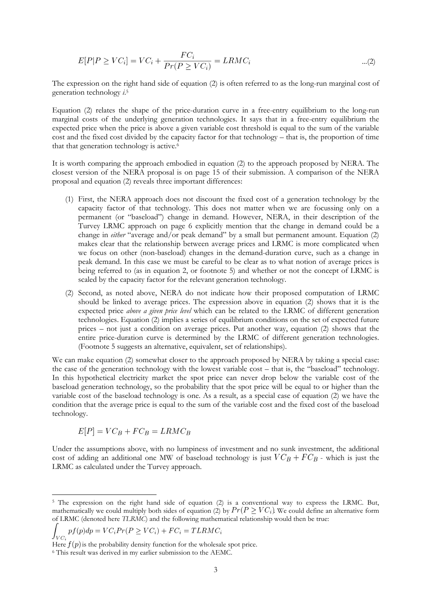$$
E[P|P \ge VC_i] = VC_i + \frac{FC_i}{Pr(P \ge VC_i)} = LRMC_i \quad ...(2)
$$

The expression on the right hand side of equation (2) is often referred to as the long-run marginal cost of generation technology *i*. 5

Equation (2) relates the shape of the price-duration curve in a free-entry equilibrium to the long-run marginal costs of the underlying generation technologies. It says that in a free-entry equilibrium the expected price when the price is above a given variable cost threshold is equal to the sum of the variable cost and the fixed cost divided by the capacity factor for that technology – that is, the proportion of time that that generation technology is active.<sup>6</sup>

It is worth comparing the approach embodied in equation (2) to the approach proposed by NERA. The closest version of the NERA proposal is on page 15 of their submission. A comparison of the NERA proposal and equation (2) reveals three important differences:

- (1) First, the NERA approach does not discount the fixed cost of a generation technology by the capacity factor of that technology. This does not matter when we are focussing only on a permanent (or "baseload") change in demand. However, NERA, in their description of the Turvey LRMC approach on page 6 explicitly mention that the change in demand could be a change in *either* "average and/or peak demand" by a small but permanent amount. Equation (2) makes clear that the relationship between average prices and LRMC is more complicated when we focus on other (non-baseload) changes in the demand-duration curve, such as a change in peak demand. In this case we must be careful to be clear as to what notion of average prices is being referred to (as in equation 2, or footnote 5) and whether or not the concept of LRMC is scaled by the capacity factor for the relevant generation technology.
- (2) Second, as noted above, NERA do not indicate how their proposed computation of LRMC should be linked to average prices. The expression above in equation (2) shows that it is the expected price *above a given price level* which can be related to the LRMC of different generation technologies. Equation (2) implies a series of equilibrium conditions on the set of expected future prices – not just a condition on average prices. Put another way, equation (2) shows that the entire price-duration curve is determined by the LRMC of different generation technologies. (Footnote 5 suggests an alternative, equivalent, set of relationships).

We can make equation (2) somewhat closer to the approach proposed by NERA by taking a special case: the case of the generation technology with the lowest variable cost – that is, the "baseload" technology. In this hypothetical electricity market the spot price can never drop below the variable cost of the baseload generation technology, so the probability that the spot price will be equal to or higher than the variable cost of the baseload technology is one. As a result, as a special case of equation (2) we have the condition that the average price is equal to the sum of the variable cost and the fixed cost of the baseload technology.

$$
E[P] = VC_B + FC_B = LRMC_B
$$

Under the assumptions above, with no lumpiness of investment and no sunk investment, the additional cost of adding an additional one MW of baseload technology is just  $VC_B + FC_B$  - which is just the LRMC as calculated under the Turvey approach.

$$
\int_{VC_i} pf(p)dp = VC_i Pr(P \ge VC_i) + FC_i = TLRMC_i
$$

 $\overline{a}$ 

<sup>5</sup> The expression on the right hand side of equation (2) is a conventional way to express the LRMC. But, mathematically we could multiply both sides of equation (2) by  $Pr(P \ge VC_i)$ . We could define an alternative form of LRMC (denoted here *TLRMC*) and the following mathematical relationship would then be true:

Here  $f(p)$  is the probability density function for the wholesale spot price.

<sup>6</sup> This result was derived in my earlier submission to the AEMC.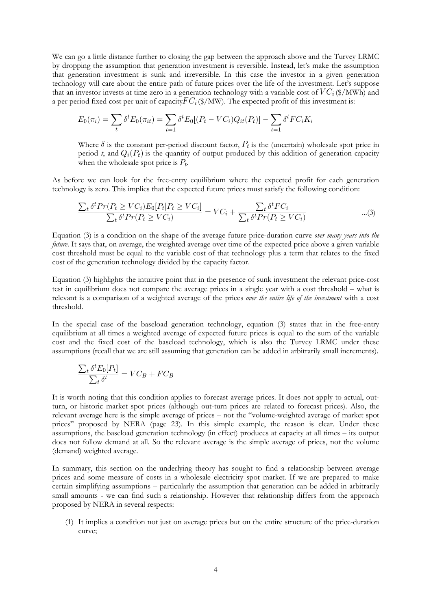We can go a little distance further to closing the gap between the approach above and the Turvey LRMC by dropping the assumption that generation investment is reversible. Instead, let's make the assumption that generation investment is sunk and irreversible. In this case the investor in a given generation technology will care about the entire path of future prices over the life of the investment. Let's suppose that an investor invests at time zero in a generation technology with a variable cost of  $VC_i$  (\$/MWh) and a per period fixed cost per unit of capacity  $FC_i$  (\$/MW). The expected profit of this investment is:

$$
E_0(\pi_i) = \sum_t \delta^t E_0(\pi_{it}) = \sum_{t=1} \delta^t E_0[(P_t - VC_i)Q_{it}(P_t)] - \sum_{t=1} \delta^t FC_iK_i
$$

Where  $\delta$  is the constant per-period discount factor,  $P_t$  is the (uncertain) wholesale spot price in period *t*, and  $Q_i(P_t)$  is the quantity of output produced by this addition of generation capacity when the wholesale spot price is  $P_t$ .

As before we can look for the free-entry equilibrium where the expected profit for each generation technology is zero. This implies that the expected future prices must satisfy the following condition:

$$
\frac{\sum_{t} \delta^t Pr(P_t \ge VC_i) E_0[P_t | P_t \ge VC_i]}{\sum_{t} \delta^t Pr(P_t \ge VC_i)} = VC_i + \frac{\sum_{t} \delta^t FC_i}{\sum_{t} \delta^t Pr(P_t \ge VC_i)} \qquad ...(3)
$$

Equation (3) is a condition on the shape of the average future price-duration curve *over many years into the future*. It says that, on average, the weighted average over time of the expected price above a given variable cost threshold must be equal to the variable cost of that technology plus a term that relates to the fixed cost of the generation technology divided by the capacity factor.

Equation (3) highlights the intuitive point that in the presence of sunk investment the relevant price-cost test in equilibrium does not compare the average prices in a single year with a cost threshold – what is relevant is a comparison of a weighted average of the prices *over the entire life of the investment* with a cost threshold.

In the special case of the baseload generation technology, equation (3) states that in the free-entry equilibrium at all times a weighted average of expected future prices is equal to the sum of the variable cost and the fixed cost of the baseload technology, which is also the Turvey LRMC under these assumptions (recall that we are still assuming that generation can be added in arbitrarily small increments).

$$
\frac{\sum_{t} \delta^{t} E_{0}[P_{t}]}{\sum_{t} \delta^{t}} = VC_{B} + FC_{B}
$$

It is worth noting that this condition applies to forecast average prices. It does not apply to actual, outturn, or historic market spot prices (although out-turn prices are related to forecast prices). Also, the relevant average here is the simple average of prices – not the "volume-weighted average of market spot prices" proposed by NERA (page 23). In this simple example, the reason is clear. Under these assumptions, the baseload generation technology (in effect) produces at capacity at all times – its output does not follow demand at all. So the relevant average is the simple average of prices, not the volume (demand) weighted average.

In summary, this section on the underlying theory has sought to find a relationship between average prices and some measure of costs in a wholesale electricity spot market. If we are prepared to make certain simplifying assumptions – particularly the assumption that generation can be added in arbitrarily small amounts - we can find such a relationship. However that relationship differs from the approach proposed by NERA in several respects:

(1) It implies a condition not just on average prices but on the entire structure of the price-duration curve;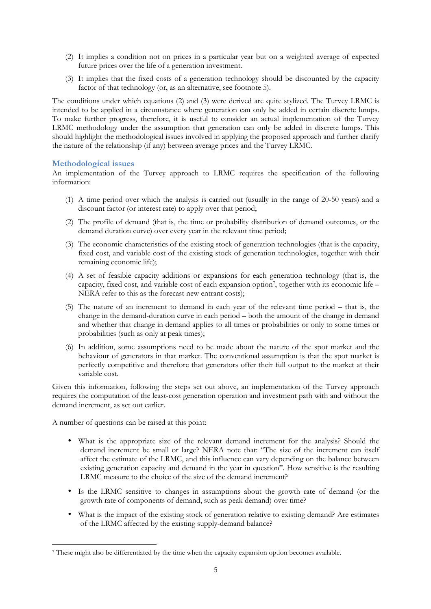- (2) It implies a condition not on prices in a particular year but on a weighted average of expected future prices over the life of a generation investment.
- (3) It implies that the fixed costs of a generation technology should be discounted by the capacity factor of that technology (or, as an alternative, see footnote 5).

The conditions under which equations (2) and (3) were derived are quite stylized. The Turvey LRMC is intended to be applied in a circumstance where generation can only be added in certain discrete lumps. To make further progress, therefore, it is useful to consider an actual implementation of the Turvey LRMC methodology under the assumption that generation can only be added in discrete lumps. This should highlight the methodological issues involved in applying the proposed approach and further clarify the nature of the relationship (if any) between average prices and the Turvey LRMC.

## **Methodological issues**

An implementation of the Turvey approach to LRMC requires the specification of the following information:

- (1) A time period over which the analysis is carried out (usually in the range of 20-50 years) and a discount factor (or interest rate) to apply over that period;
- (2) The profile of demand (that is, the time or probability distribution of demand outcomes, or the demand duration curve) over every year in the relevant time period;
- (3) The economic characteristics of the existing stock of generation technologies (that is the capacity, fixed cost, and variable cost of the existing stock of generation technologies, together with their remaining economic life);
- (4) A set of feasible capacity additions or expansions for each generation technology (that is, the capacity, fixed cost, and variable cost of each expansion option<sup>7</sup> , together with its economic life – NERA refer to this as the forecast new entrant costs);
- (5) The nature of an increment to demand in each year of the relevant time period that is, the change in the demand-duration curve in each period – both the amount of the change in demand and whether that change in demand applies to all times or probabilities or only to some times or probabilities (such as only at peak times);
- (6) In addition, some assumptions need to be made about the nature of the spot market and the behaviour of generators in that market. The conventional assumption is that the spot market is perfectly competitive and therefore that generators offer their full output to the market at their variable cost.

Given this information, following the steps set out above, an implementation of the Turvey approach requires the computation of the least-cost generation operation and investment path with and without the demand increment, as set out earlier.

A number of questions can be raised at this point:

- What is the appropriate size of the relevant demand increment for the analysis? Should the demand increment be small or large? NERA note that: "The size of the increment can itself affect the estimate of the LRMC, and this influence can vary depending on the balance between existing generation capacity and demand in the year in question". How sensitive is the resulting LRMC measure to the choice of the size of the demand increment?
- Is the LRMC sensitive to changes in assumptions about the growth rate of demand (or the growth rate of components of demand, such as peak demand) over time?
- What is the impact of the existing stock of generation relative to existing demand? Are estimates of the LRMC affected by the existing supply-demand balance?

 $\overline{a}$ 7 These might also be differentiated by the time when the capacity expansion option becomes available.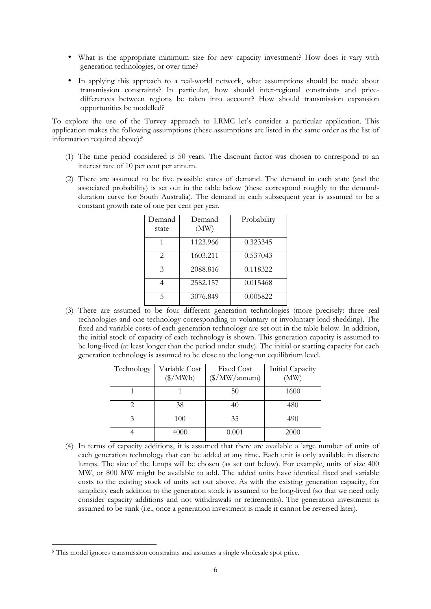- What is the appropriate minimum size for new capacity investment? How does it vary with generation technologies, or over time?
- In applying this approach to a real-world network, what assumptions should be made about transmission constraints? In particular, how should inter-regional constraints and pricedifferences between regions be taken into account? How should transmission expansion opportunities be modelled?

To explore the use of the Turvey approach to LRMC let's consider a particular application. This application makes the following assumptions (these assumptions are listed in the same order as the list of information required above):<sup>8</sup>

- (1) The time period considered is 50 years. The discount factor was chosen to correspond to an interest rate of 10 per cent per annum.
- (2) There are assumed to be five possible states of demand. The demand in each state (and the associated probability) is set out in the table below (these correspond roughly to the demandduration curve for South Australia). The demand in each subsequent year is assumed to be a constant growth rate of one per cent per year.

| Demand<br>state | Demand<br>(MW) | Probability |
|-----------------|----------------|-------------|
|                 | 1123.966       | 0.323345    |
| $\mathfrak{D}$  | 1603.211       | 0.537043    |
| $\mathcal{E}$   | 2088.816       | 0.118322    |
|                 | 2582.157       | 0.015468    |
| 5               | 3076.849       | 0.005822    |

(3) There are assumed to be four different generation technologies (more precisely: three real technologies and one technology corresponding to voluntary or involuntary load-shedding). The fixed and variable costs of each generation technology are set out in the table below. In addition, the initial stock of capacity of each technology is shown. This generation capacity is assumed to be long-lived (at least longer than the period under study). The initial or starting capacity for each generation technology is assumed to be close to the long-run equilibrium level.

| Technology | Variable Cost<br>$(\frac{\sqrt{2}}{MWh})$ | <b>Fixed Cost</b><br>$(\frac{\sqrt{2}}{2})$ MW/annum) | Initial Capacity<br>(MW) |  |
|------------|-------------------------------------------|-------------------------------------------------------|--------------------------|--|
|            |                                           | 50                                                    | 1600                     |  |
|            | 38                                        | 40                                                    | 480                      |  |
|            | 100                                       | 35                                                    | 490                      |  |
|            | 4000                                      | 0.001                                                 | 2000                     |  |

(4) In terms of capacity additions, it is assumed that there are available a large number of units of each generation technology that can be added at any time. Each unit is only available in discrete lumps. The size of the lumps will be chosen (as set out below). For example, units of size 400 MW, or 800 MW might be available to add. The added units have identical fixed and variable costs to the existing stock of units set out above. As with the existing generation capacity, for simplicity each addition to the generation stock is assumed to be long-lived (so that we need only consider capacity additions and not withdrawals or retirements). The generation investment is assumed to be sunk (i.e., once a generation investment is made it cannot be reversed later).

 $\overline{a}$ 

<sup>8</sup> This model ignores transmission constraints and assumes a single wholesale spot price.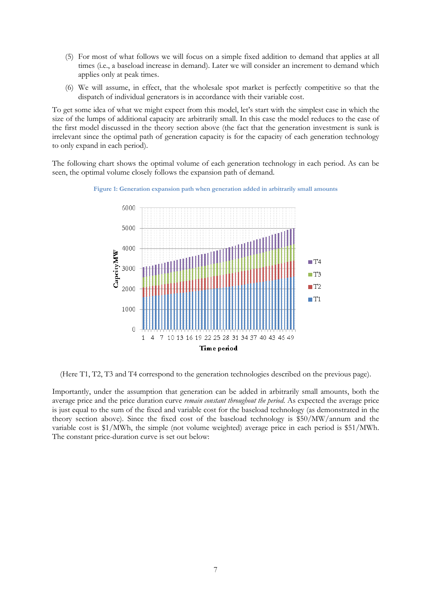- (5) For most of what follows we will focus on a simple fixed addition to demand that applies at all times (i.e., a baseload increase in demand). Later we will consider an increment to demand which applies only at peak times.
- (6) We will assume, in effect, that the wholesale spot market is perfectly competitive so that the dispatch of individual generators is in accordance with their variable cost.

To get some idea of what we might expect from this model, let's start with the simplest case in which the size of the lumps of additional capacity are arbitrarily small. In this case the model reduces to the case of the first model discussed in the theory section above (the fact that the generation investment is sunk is irrelevant since the optimal path of generation capacity is for the capacity of each generation technology to only expand in each period).

The following chart shows the optimal volume of each generation technology in each period. As can be seen, the optimal volume closely follows the expansion path of demand.

**Figure 1: Generation expansion path when generation added in arbitrarily small amounts** 



(Here T1, T2, T3 and T4 correspond to the generation technologies described on the previous page).

Importantly, under the assumption that generation can be added in arbitrarily small amounts, both the average price and the price duration curve *remain constant throughout the period*. As expected the average price is just equal to the sum of the fixed and variable cost for the baseload technology (as demonstrated in the theory section above). Since the fixed cost of the baseload technology is \$50/MW/annum and the variable cost is \$1/MWh, the simple (not volume weighted) average price in each period is \$51/MWh. The constant price-duration curve is set out below: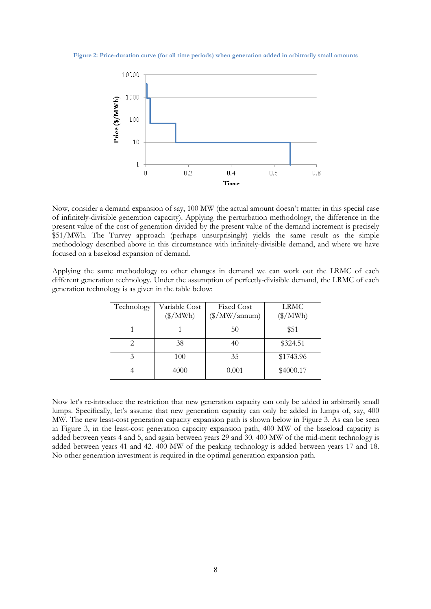#### **Figure 2: Price-duration curve (for all time periods) when generation added in arbitrarily small amounts**



Now, consider a demand expansion of say, 100 MW (the actual amount doesn't matter in this special case of infinitely-divisible generation capacity). Applying the perturbation methodology, the difference in the present value of the cost of generation divided by the present value of the demand increment is precisely \$51/MWh. The Turvey approach (perhaps unsurprisingly) yields the same result as the simple methodology described above in this circumstance with infinitely-divisible demand, and where we have focused on a baseload expansion of demand.

Applying the same methodology to other changes in demand we can work out the LRMC of each different generation technology. Under the assumption of perfectly-divisible demand, the LRMC of each generation technology is as given in the table below:

| Technology | Variable Cost<br>$(\frac{\sqrt{2}}{MWh})$ | <b>Fixed Cost</b><br>$(\frac{\sqrt{2}}{2})$ MW/annum) | <b>LRMC</b><br>$(\frac{\sqrt{2}}{MWh})$ |  |
|------------|-------------------------------------------|-------------------------------------------------------|-----------------------------------------|--|
|            |                                           | 50                                                    | \$51                                    |  |
|            | 38                                        | 40                                                    | \$324.51                                |  |
|            | 100                                       | 35                                                    | \$1743.96                               |  |
|            | 4000                                      | 0.001                                                 | \$4000.17                               |  |

Now let's re-introduce the restriction that new generation capacity can only be added in arbitrarily small lumps. Specifically, let's assume that new generation capacity can only be added in lumps of, say, 400 MW. The new least-cost generation capacity expansion path is shown below in Figure 3. As can be seen in Figure 3, in the least-cost generation capacity expansion path, 400 MW of the baseload capacity is added between years 4 and 5, and again between years 29 and 30. 400 MW of the mid-merit technology is added between years 41 and 42. 400 MW of the peaking technology is added between years 17 and 18. No other generation investment is required in the optimal generation expansion path.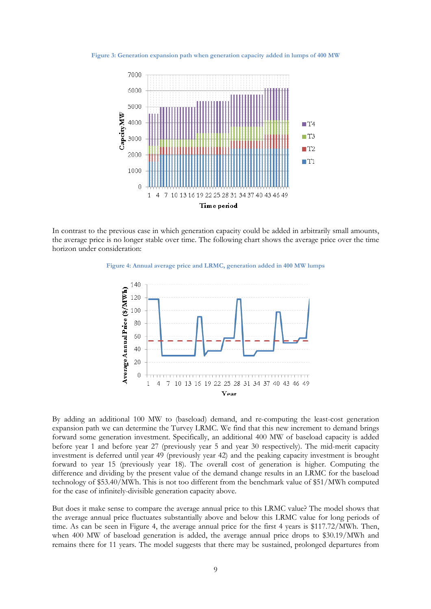**Figure 3: Generation expansion path when generation capacity added in lumps of 400 MW** 



In contrast to the previous case in which generation capacity could be added in arbitrarily small amounts, the average price is no longer stable over time. The following chart shows the average price over the time horizon under consideration:

**Figure 4: Annual average price and LRMC, generation added in 400 MW lumps** 



By adding an additional 100 MW to (baseload) demand, and re-computing the least-cost generation expansion path we can determine the Turvey LRMC. We find that this new increment to demand brings forward some generation investment. Specifically, an additional 400 MW of baseload capacity is added before year 1 and before year 27 (previously year 5 and year 30 respectively). The mid-merit capacity investment is deferred until year 49 (previously year 42) and the peaking capacity investment is brought forward to year 15 (previously year 18). The overall cost of generation is higher. Computing the difference and dividing by the present value of the demand change results in an LRMC for the baseload technology of \$53.40/MWh. This is not too different from the benchmark value of \$51/MWh computed for the case of infinitely-divisible generation capacity above.

But does it make sense to compare the average annual price to this LRMC value? The model shows that the average annual price fluctuates substantially above and below this LRMC value for long periods of time. As can be seen in Figure 4, the average annual price for the first 4 years is \$117.72/MWh. Then, when 400 MW of baseload generation is added, the average annual price drops to \$30.19/MWh and remains there for 11 years. The model suggests that there may be sustained, prolonged departures from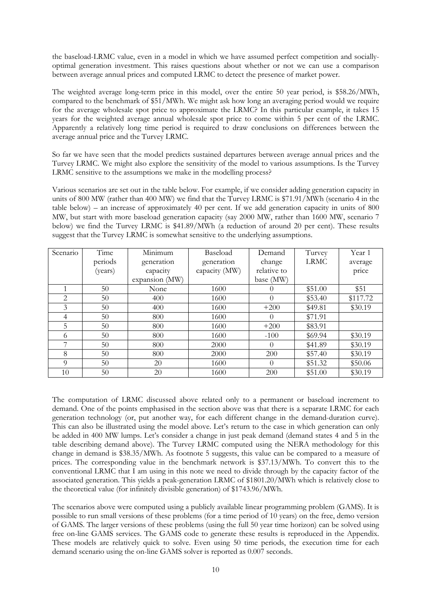the baseload-LRMC value, even in a model in which we have assumed perfect competition and sociallyoptimal generation investment. This raises questions about whether or not we can use a comparison between average annual prices and computed LRMC to detect the presence of market power.

The weighted average long-term price in this model, over the entire 50 year period, is \$58.26/MWh, compared to the benchmark of \$51/MWh. We might ask how long an averaging period would we require for the average wholesale spot price to approximate the LRMC? In this particular example, it takes 15 years for the weighted average annual wholesale spot price to come within 5 per cent of the LRMC. Apparently a relatively long time period is required to draw conclusions on differences between the average annual price and the Turvey LRMC.

So far we have seen that the model predicts sustained departures between average annual prices and the Turvey LRMC. We might also explore the sensitivity of the model to various assumptions. Is the Turvey LRMC sensitive to the assumptions we make in the modelling process?

Various scenarios are set out in the table below. For example, if we consider adding generation capacity in units of 800 MW (rather than 400 MW) we find that the Turvey LRMC is \$71.91/MWh (scenario 4 in the table below) – an increase of approximately 40 per cent. If we add generation capacity in units of 800 MW, but start with more baseload generation capacity (say 2000 MW, rather than 1600 MW, scenario 7 below) we find the Turvey LRMC is \$41.89/MWh (a reduction of around 20 per cent). These results suggest that the Turvey LRMC is somewhat sensitive to the underlying assumptions.

| Scenario | Time    | Minimum        | Baseload      | Demand           | Turvey      | Year 1   |
|----------|---------|----------------|---------------|------------------|-------------|----------|
|          | periods | generation     | generation    | change           | <b>LRMC</b> | average  |
|          | (years) | capacity       | capacity (MW) | relative to      |             | price    |
|          |         | expansion (MW) |               | base (MW)        |             |          |
|          | 50      | None           | 1600          | $\cup$           | \$51.00     | \$51     |
| 2        | 50      | 400            | 1600          | $\Omega$         | \$53.40     | \$117.72 |
| 3        | 50      | 400            | 1600          | $+200$           | \$49.81     | \$30.19  |
| 4        | 50      | 800            | 1600          | $\left( \right)$ | \$71.91     |          |
| 5        | 50      | 800            | 1600          | $+200$           | \$83.91     |          |
| 6        | 50      | 800            | 1600          | $-100$           | \$69.94     | \$30.19  |
|          | 50      | 800            | 2000          | $\Omega$         | \$41.89     | \$30.19  |
| 8        | 50      | 800            | 2000          | 200              | \$57.40     | \$30.19  |
| $\Omega$ | 50      | 20             | 1600          | $\Omega$         | \$51.32     | \$50.06  |
| 10       | 50      | 20             | 1600          | 200              | \$51.00     | \$30.19  |

The computation of LRMC discussed above related only to a permanent or baseload increment to demand. One of the points emphasised in the section above was that there is a separate LRMC for each generation technology (or, put another way, for each different change in the demand-duration curve). This can also be illustrated using the model above. Let's return to the case in which generation can only be added in 400 MW lumps. Let's consider a change in just peak demand (demand states 4 and 5 in the table describing demand above). The Turvey LRMC computed using the NERA methodology for this change in demand is \$38.35/MWh. As footnote 5 suggests, this value can be compared to a measure of prices. The corresponding value in the benchmark network is \$37.13/MWh. To convert this to the conventional LRMC that I am using in this note we need to divide through by the capacity factor of the associated generation. This yields a peak-generation LRMC of \$1801.20/MWh which is relatively close to the theoretical value (for infinitely divisible generation) of \$1743.96/MWh.

The scenarios above were computed using a publicly available linear programming problem (GAMS). It is possible to run small versions of these problems (for a time period of 10 years) on the free, demo version of GAMS. The larger versions of these problems (using the full 50 year time horizon) can be solved using free on-line GAMS services. The GAMS code to generate these results is reproduced in the Appendix. These models are relatively quick to solve. Even using 50 time periods, the execution time for each demand scenario using the on-line GAMS solver is reported as 0.007 seconds.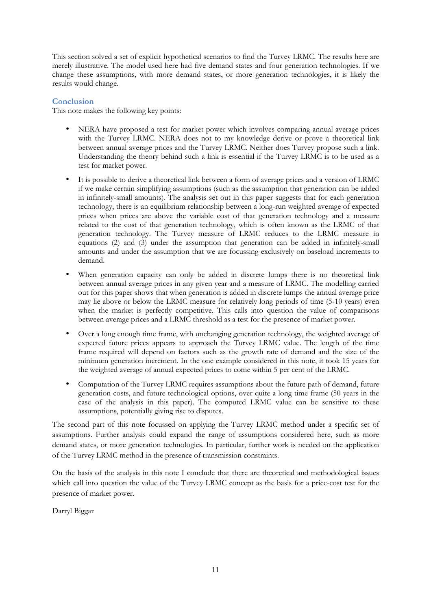This section solved a set of explicit hypothetical scenarios to find the Turvey LRMC. The results here are merely illustrative. The model used here had five demand states and four generation technologies. If we change these assumptions, with more demand states, or more generation technologies, it is likely the results would change.

## **Conclusion**

This note makes the following key points:

- NERA have proposed a test for market power which involves comparing annual average prices with the Turvey LRMC. NERA does not to my knowledge derive or prove a theoretical link between annual average prices and the Turvey LRMC. Neither does Turvey propose such a link. Understanding the theory behind such a link is essential if the Turvey LRMC is to be used as a test for market power.
- It is possible to derive a theoretical link between a form of average prices and a version of LRMC if we make certain simplifying assumptions (such as the assumption that generation can be added in infinitely-small amounts). The analysis set out in this paper suggests that for each generation technology, there is an equilibrium relationship between a long-run weighted average of expected prices when prices are above the variable cost of that generation technology and a measure related to the cost of that generation technology, which is often known as the LRMC of that generation technology. The Turvey measure of LRMC reduces to the LRMC measure in equations (2) and (3) under the assumption that generation can be added in infinitely-small amounts and under the assumption that we are focussing exclusively on baseload increments to demand.
- When generation capacity can only be added in discrete lumps there is no theoretical link between annual average prices in any given year and a measure of LRMC. The modelling carried out for this paper shows that when generation is added in discrete lumps the annual average price may lie above or below the LRMC measure for relatively long periods of time (5-10 years) even when the market is perfectly competitive. This calls into question the value of comparisons between average prices and a LRMC threshold as a test for the presence of market power.
- Over a long enough time frame, with unchanging generation technology, the weighted average of expected future prices appears to approach the Turvey LRMC value. The length of the time frame required will depend on factors such as the growth rate of demand and the size of the minimum generation increment. In the one example considered in this note, it took 15 years for the weighted average of annual expected prices to come within 5 per cent of the LRMC.
- Computation of the Turvey LRMC requires assumptions about the future path of demand, future generation costs, and future technological options, over quite a long time frame (50 years in the case of the analysis in this paper). The computed LRMC value can be sensitive to these assumptions, potentially giving rise to disputes.

The second part of this note focussed on applying the Turvey LRMC method under a specific set of assumptions. Further analysis could expand the range of assumptions considered here, such as more demand states, or more generation technologies. In particular, further work is needed on the application of the Turvey LRMC method in the presence of transmission constraints.

On the basis of the analysis in this note I conclude that there are theoretical and methodological issues which call into question the value of the Turvey LRMC concept as the basis for a price-cost test for the presence of market power.

Darryl Biggar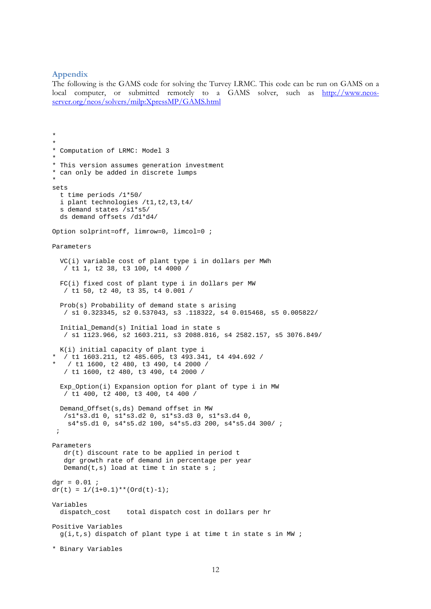#### **Appendix**

The following is the GAMS code for solving the Turvey LRMC. This code can be run on GAMS on a local computer, or submitted remotely to a GAMS solver, such as http://www.neosserver.org/neos/solvers/milp:XpressMP/GAMS.html

```
* 
* 
* Computation of LRMC: Model 3 
* 
* This version assumes generation investment 
* can only be added in discrete lumps 
* 
sets 
   t time periods /1*50/ 
  i plant technologies /t1,t2,t3,t4/
   s demand states /s1*s5/ 
   ds demand offsets /d1*d4/ 
Option solprint=off, limrow=0, limcol=0 ; 
Parameters 
   VC(i) variable cost of plant type i in dollars per MWh 
    / t1 1, t2 38, t3 100, t4 4000 / 
   FC(i) fixed cost of plant type i in dollars per MW 
    / t1 50, t2 40, t3 35, t4 0.001 / 
   Prob(s) Probability of demand state s arising 
    / s1 0.323345, s2 0.537043, s3 .118322, s4 0.015468, s5 0.005822/ 
   Initial_Demand(s) Initial load in state s 
    / s1 1123.966, s2 1603.211, s3 2088.816, s4 2582.157, s5 3076.849/ 
  K(i) initial capacity of plant type i 
  * / t1 1603.211, t2 485.605, t3 493.341, t4 494.692 / 
  / t1 1600, t2 480, t3 490, t4 2000 /
    / t1 1600, t2 480, t3 490, t4 2000 / 
   Exp_Option(i) Expansion option for plant of type i in MW 
   / t1 400, t2 400, t3 400, t4 400 /
   Demand_Offset(s,ds) Demand offset in MW 
    /s1*s3.d1 0, s1*s3.d2 0, s1*s3.d3 0, s1*s3.d4 0,
     s4*s5.d1 0, s4*s5.d2 100, s4*s5.d3 200, s4*s5.d4 300/ ; 
  ; 
Parameters 
    dr(t) discount rate to be applied in period t 
    dgr growth rate of demand in percentage per year
   Demand(t,s) load at time t in state s ;
dgr = 0.01 ;
dr(t) = 1/(1+0.1)**(Ord(t)-1);Variables 
                   total dispatch cost in dollars per hr
Positive Variables 
  g(i,t,s) dispatch of plant type i at time t in state s in MW ;
* Binary Variables
```